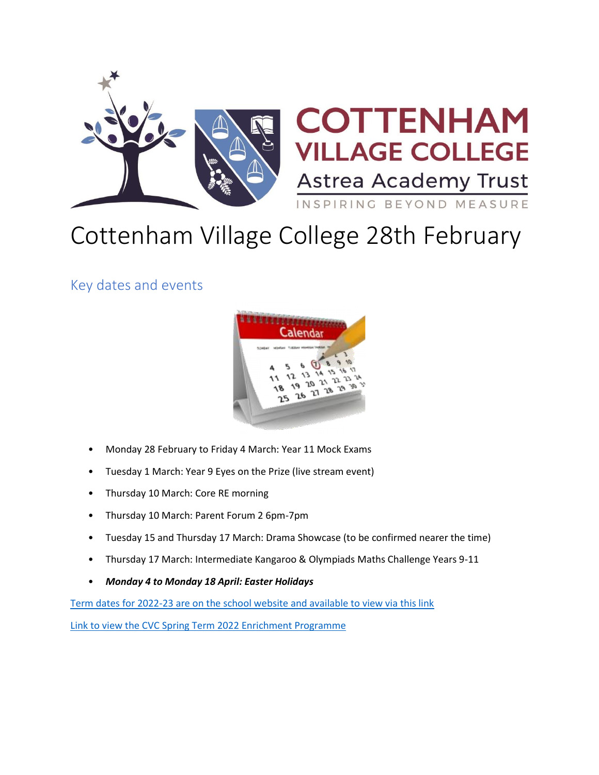

# Cottenham Village College 28th February

Key dates and events



- Monday 28 February to Friday 4 March: Year 11 Mock Exams
- Tuesday 1 March: Year 9 Eyes on the Prize (live stream event)
- Thursday 10 March: Core RE morning
- Thursday 10 March: Parent Forum 2 6pm-7pm
- Tuesday 15 and Thursday 17 March: Drama Showcase (to be confirmed nearer the time)
- Thursday 17 March: Intermediate Kangaroo & Olympiads Maths Challenge Years 9-11
- *Monday 4 to Monday 18 April: Easter Holidays*

[Term dates for 2022-23 are on the school website and available to view via this link](https://www.astreacottenham.org/wp-content/uploads/2022/01/Term-dates-2022-23-parental-version.pdf)

[Link to view the CVC Spring Term 2022 Enrichment Programme](https://www.astreacottenham.org/wp-content/uploads/2022/01/CVC-SPRING-Enrichment-Programme-2022.pdf)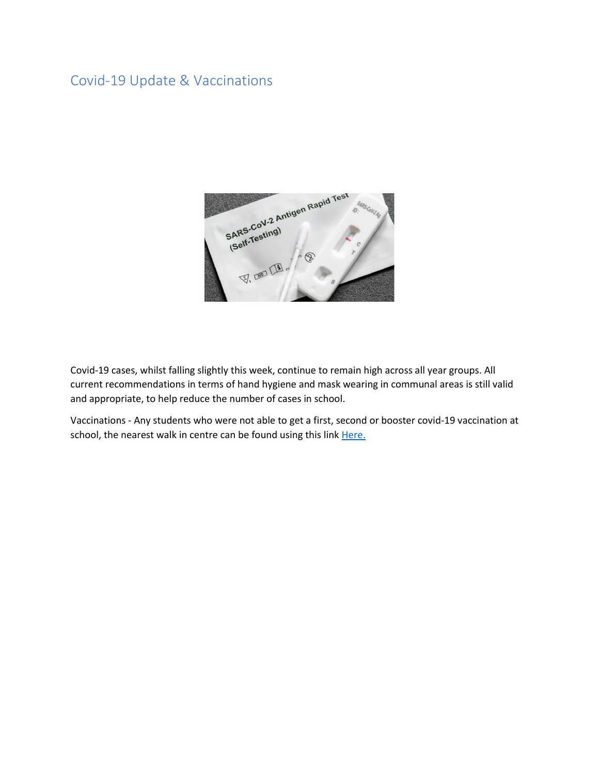# Covid-19 Update & Vaccinations



Covid-19 cases, whilst falling slightly this week, continue to remain high across all year groups. All current recommendations in terms of hand hygiene and mask wearing in communal areas is still valid and appropriate, to help reduce the number of cases in school.

Vaccinations - Any students who were not able to get a first, second or booster covid-19 vaccination at school, the nearest walk in centre can be found using this link Here.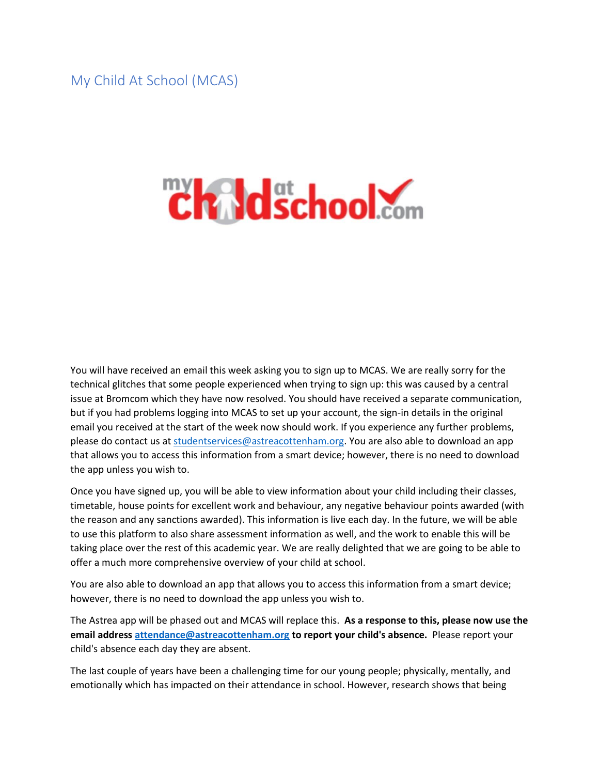My Child At School (MCAS)

# **Chaldschool.com**

You will have received an email this week asking you to sign up to MCAS. We are really sorry for the technical glitches that some people experienced when trying to sign up: this was caused by a central issue at Bromcom which they have now resolved. You should have received a separate communication, but if you had problems logging into MCAS to set up your account, the sign-in details in the original email you received at the start of the week now should work. If you experience any further problems, please do contact us a[t studentservices@astreacottenham.org.](mailto:studentservices@astreacottenham.org) You are also able to download an app that allows you to access this information from a smart device; however, there is no need to download the app unless you wish to.

Once you have signed up, you will be able to view information about your child including their classes, timetable, house points for excellent work and behaviour, any negative behaviour points awarded (with the reason and any sanctions awarded). This information is live each day. In the future, we will be able to use this platform to also share assessment information as well, and the work to enable this will be taking place over the rest of this academic year. We are really delighted that we are going to be able to offer a much more comprehensive overview of your child at school.

You are also able to download an app that allows you to access this information from a smart device; however, there is no need to download the app unless you wish to.

The Astrea app will be phased out and MCAS will replace this. **As a response to this, please now use the email address [attendance@astreacottenham.org](mailto:attendance@astreacottenham.org) to report your child's absence.** Please report your child's absence each day they are absent.

The last couple of years have been a challenging time for our young people; physically, mentally, and emotionally which has impacted on their attendance in school. However, research shows that being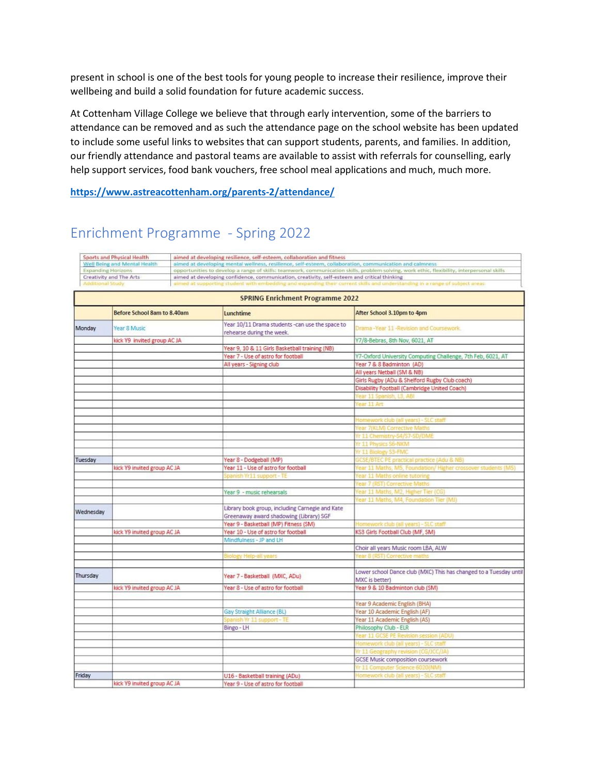present in school is one of the best tools for young people to increase their resilience, improve their wellbeing and build a solid foundation for future academic success.

At Cottenham Village College we believe that through early intervention, some of the barriers to attendance can be removed and as such the attendance page on the school website has been updated to include some useful links to websites that can support students, parents, and families. In addition, our friendly attendance and pastoral teams are available to assist with referrals for counselling, early help support services, food bank vouchers, free school meal applications and much, much more.

**<https://www.astreacottenham.org/parents-2/attendance/>**

# Enrichment Programme - Spring 2022

| <b>Sports and Physical Health</b><br>Well Being and Mental Health<br><b>Expanding Horizons</b> |                             |                                                                                                         | aimed at developing resilience, self-esteem, collaboration and fitness                                                                     |                                                                                                                                                                                                                              |  |  |
|------------------------------------------------------------------------------------------------|-----------------------------|---------------------------------------------------------------------------------------------------------|--------------------------------------------------------------------------------------------------------------------------------------------|------------------------------------------------------------------------------------------------------------------------------------------------------------------------------------------------------------------------------|--|--|
|                                                                                                |                             | aimed at developing mental wellness, resilience, self-esteem, collaboration, communication and calmness |                                                                                                                                            |                                                                                                                                                                                                                              |  |  |
|                                                                                                |                             |                                                                                                         | opportunities to develop a range of skills: teamwork, communication skills, problem solving, work ethic, flexibility, interpersonal skills |                                                                                                                                                                                                                              |  |  |
| Creativity and The Arts<br>Additional Study                                                    |                             |                                                                                                         |                                                                                                                                            | aimed at developing confidence, communication, creativity, self-esteem and critical thinking<br>aimed at supporting student with embedding and expanding their current skills and understanding in a range of subject areas- |  |  |
|                                                                                                |                             |                                                                                                         |                                                                                                                                            |                                                                                                                                                                                                                              |  |  |
|                                                                                                |                             |                                                                                                         | <b>SPRING Enrichment Programme 2022</b>                                                                                                    |                                                                                                                                                                                                                              |  |  |
|                                                                                                | Before School 8am to 8.40am |                                                                                                         | Lunchtime                                                                                                                                  | After School 3.10pm to 4pm                                                                                                                                                                                                   |  |  |
| Monday                                                                                         | Year 8 Music                |                                                                                                         | Year 10/11 Drama students -can use the space to<br>rehearse during the week.                                                               | Drama-Year 11-Revision and Coursework.                                                                                                                                                                                       |  |  |
|                                                                                                | kick Y9 invited group AC JA |                                                                                                         |                                                                                                                                            | Y7/8-Bebras, 8th Nov, 6021, AT                                                                                                                                                                                               |  |  |
|                                                                                                |                             |                                                                                                         | Year 9, 10 & 11 Girls Basketball training (NB)                                                                                             |                                                                                                                                                                                                                              |  |  |
|                                                                                                |                             |                                                                                                         | Year 7 - Use of astro for football                                                                                                         | Y7-Oxford University Computing Challenge, 7th Feb, 6021, AT                                                                                                                                                                  |  |  |
|                                                                                                |                             |                                                                                                         | All years - Signing club                                                                                                                   | Year 7 & 8 Badminton (AD)                                                                                                                                                                                                    |  |  |
|                                                                                                |                             |                                                                                                         |                                                                                                                                            | All years Netball (SM & NB)                                                                                                                                                                                                  |  |  |
|                                                                                                |                             |                                                                                                         |                                                                                                                                            | Girls Rugby (ADu & Shelford Rugby Club coach)                                                                                                                                                                                |  |  |
|                                                                                                |                             |                                                                                                         |                                                                                                                                            | Disability Football (Cambridge United Coach)                                                                                                                                                                                 |  |  |
|                                                                                                |                             |                                                                                                         |                                                                                                                                            | Year 11 Spanish, L3, ABI                                                                                                                                                                                                     |  |  |
|                                                                                                |                             |                                                                                                         |                                                                                                                                            | Vear 11 Art                                                                                                                                                                                                                  |  |  |
|                                                                                                |                             |                                                                                                         |                                                                                                                                            |                                                                                                                                                                                                                              |  |  |
|                                                                                                |                             |                                                                                                         |                                                                                                                                            | tomework.club (all years) - SLC st                                                                                                                                                                                           |  |  |
|                                                                                                |                             |                                                                                                         |                                                                                                                                            | <b>Pear 7(KLM) Corrective Maths</b>                                                                                                                                                                                          |  |  |
|                                                                                                |                             |                                                                                                         |                                                                                                                                            | Yr 11 Chemistry-S4/S7-SD/DME                                                                                                                                                                                                 |  |  |
|                                                                                                |                             |                                                                                                         |                                                                                                                                            | r 11 Physics S6-NKM                                                                                                                                                                                                          |  |  |
|                                                                                                |                             |                                                                                                         |                                                                                                                                            | /r 11 Biology S3-FMC                                                                                                                                                                                                         |  |  |
| Tuesday                                                                                        |                             |                                                                                                         | Year 8 - Dodgeball (MP)                                                                                                                    | <b>SCSE/BTEC PE practical practice (Adu &amp; NB)</b>                                                                                                                                                                        |  |  |
|                                                                                                | kick Y9 invited group AC JA |                                                                                                         | Year 11 - Use of astro for football                                                                                                        | Year 11 Maths, M5, Foundation/ Higher crossover students (M5)                                                                                                                                                                |  |  |
|                                                                                                |                             |                                                                                                         | Spanish Yr11 support - TE                                                                                                                  | ear 11 Maths online tutoring                                                                                                                                                                                                 |  |  |
|                                                                                                |                             |                                                                                                         |                                                                                                                                            | ear 7 (RST) Corrective Maths                                                                                                                                                                                                 |  |  |
|                                                                                                |                             |                                                                                                         | Year 9 - music rehearsals                                                                                                                  | Year 11 Maths, M2, Higher Tier (CG)                                                                                                                                                                                          |  |  |
|                                                                                                |                             |                                                                                                         |                                                                                                                                            | Vear 11 Maths, M4, Foundation Tier (MJ)                                                                                                                                                                                      |  |  |
| Wednesday                                                                                      |                             |                                                                                                         | Library book group, including Carnegie and Kate                                                                                            |                                                                                                                                                                                                                              |  |  |
|                                                                                                |                             |                                                                                                         | Greenaway award shadowing (Library) SGF                                                                                                    |                                                                                                                                                                                                                              |  |  |
|                                                                                                |                             |                                                                                                         | Year 9 - Basketball (MP) Fitness (SM)                                                                                                      | lomework club (all years) - SLC staff                                                                                                                                                                                        |  |  |
|                                                                                                | kick Y9 invited group AC JA |                                                                                                         | Year 10 - Use of astro for football                                                                                                        | KS3 Girls Football Club (MF, SM)                                                                                                                                                                                             |  |  |
|                                                                                                |                             |                                                                                                         | Mindfulness - JP and LH                                                                                                                    |                                                                                                                                                                                                                              |  |  |
|                                                                                                |                             |                                                                                                         |                                                                                                                                            | Choir all years Music room LBA, ALW                                                                                                                                                                                          |  |  |
|                                                                                                |                             |                                                                                                         | Siology Help-all years                                                                                                                     | ear 8 (RST) Corrective mat                                                                                                                                                                                                   |  |  |
|                                                                                                |                             |                                                                                                         |                                                                                                                                            | Lower school Dance club (MXC) This has changed to a Tuesday until                                                                                                                                                            |  |  |
| Thursday                                                                                       |                             |                                                                                                         | Year 7 - Basketball (MXC, ADu)                                                                                                             | MXC is better)                                                                                                                                                                                                               |  |  |
|                                                                                                | kick Y9 invited group ACJA  |                                                                                                         | Year 8 - Use of astro for football                                                                                                         | Year 9 & 10 Badminton club (SM)                                                                                                                                                                                              |  |  |
|                                                                                                |                             |                                                                                                         |                                                                                                                                            |                                                                                                                                                                                                                              |  |  |
|                                                                                                |                             |                                                                                                         |                                                                                                                                            | Year 9 Academic English (BHA)                                                                                                                                                                                                |  |  |
|                                                                                                |                             |                                                                                                         | Gay Straight Alliance (BL)                                                                                                                 | Year 10 Academic English (AF)                                                                                                                                                                                                |  |  |
|                                                                                                |                             |                                                                                                         | panish Yr 11 support - TE                                                                                                                  | Year 11 Academic English (AS)                                                                                                                                                                                                |  |  |
|                                                                                                |                             |                                                                                                         | Bingo - LH                                                                                                                                 | Philosophy Club - ELR                                                                                                                                                                                                        |  |  |
|                                                                                                |                             |                                                                                                         |                                                                                                                                            | Year 11 GCSE PE Revision session (ADU)                                                                                                                                                                                       |  |  |
|                                                                                                |                             |                                                                                                         |                                                                                                                                            | Homework club (all years) - SLC staff                                                                                                                                                                                        |  |  |
|                                                                                                |                             |                                                                                                         |                                                                                                                                            | Yr 11 Geography revision (CG/JCC/JA)                                                                                                                                                                                         |  |  |
|                                                                                                |                             |                                                                                                         |                                                                                                                                            | <b>GCSE Music composition coursework</b>                                                                                                                                                                                     |  |  |
|                                                                                                |                             |                                                                                                         |                                                                                                                                            | Yr 11 Computer Science 6020(NM)                                                                                                                                                                                              |  |  |
| Friday                                                                                         |                             |                                                                                                         | U16 - Basketball training (ADu)                                                                                                            | Homework club (all years) - SLC staff                                                                                                                                                                                        |  |  |
|                                                                                                | kick Y9 invited group ACJA  |                                                                                                         | Year 9 - Use of astro for football                                                                                                         |                                                                                                                                                                                                                              |  |  |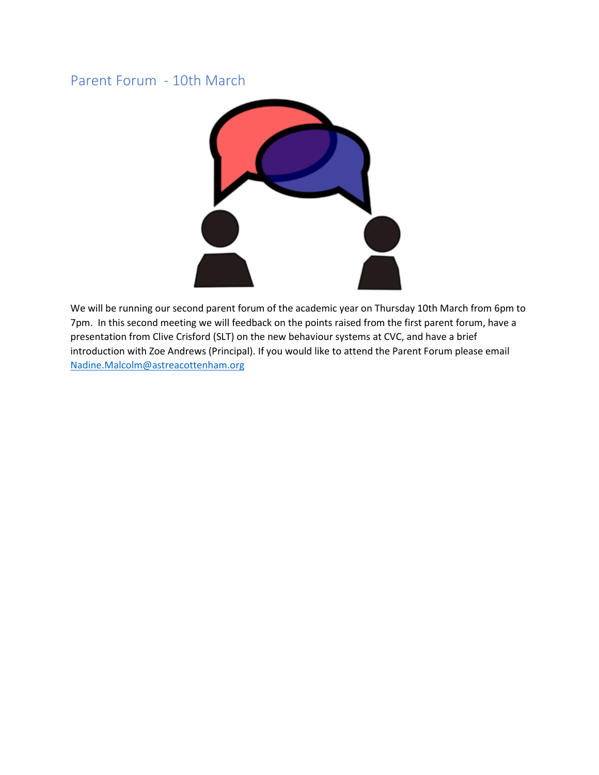# Parent Forum - 10th March



We will be running our second parent forum of the academic year on Thursday 10th March from 6pm to 7pm. In this second meeting we will feedback on the points raised from the first parent forum, have a presentation from Clive Crisford (SLT) on the new behaviour systems at CVC, and have a brief introduction with Zoe Andrews (Principal). If you would like to attend the Parent Forum please email [Nadine.Malcolm@astreacottenham.org](mailto:Nadine.Malcolm@astreacottenham.org)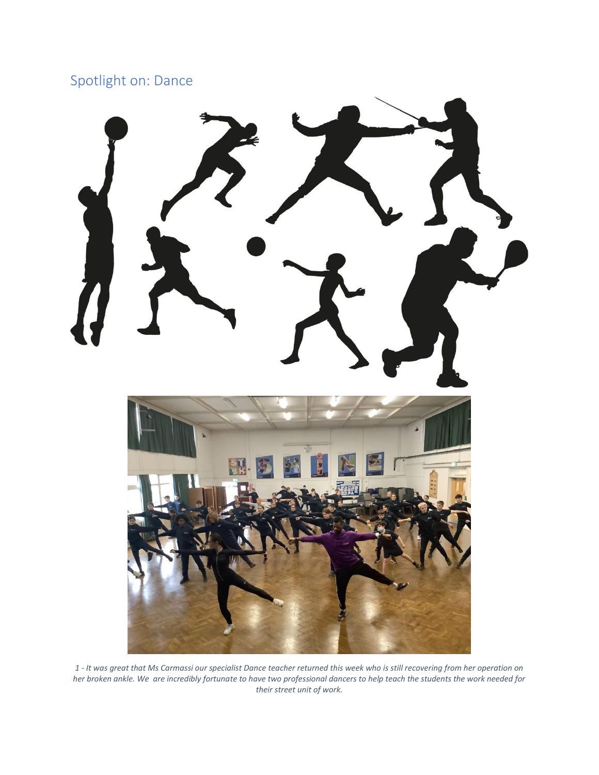# Spotlight on: Dance



*1 - It was great that Ms Carmassi our specialist Dance teacher returned this week who is still recovering from her operation on her broken ankle. We are incredibly fortunate to have two professional dancers to help teach the students the work needed for their street unit of work.*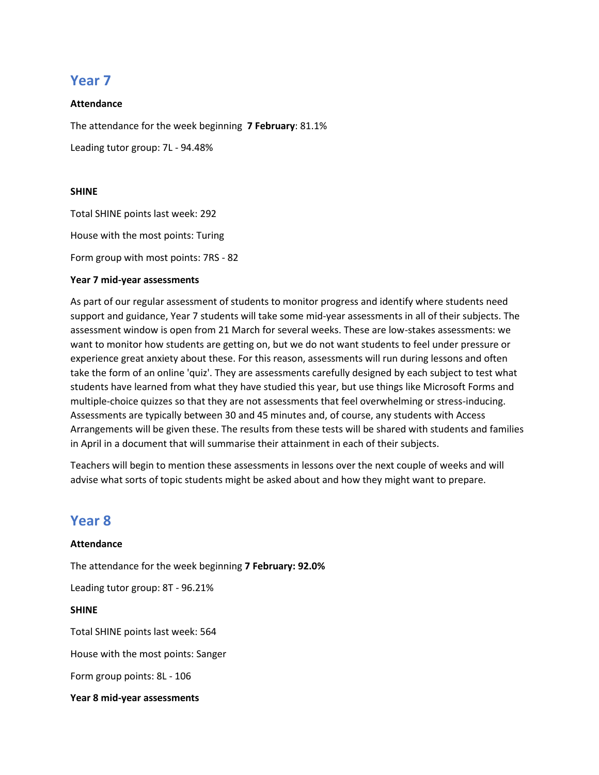# **Year 7**

#### **Attendance**

The attendance for the week beginning **7 February**: 81.1%

Leading tutor group: 7L - 94.48%

#### **SHINE**

Total SHINE points last week: 292

House with the most points: Turing

Form group with most points: 7RS - 82

#### **Year 7 mid-year assessments**

As part of our regular assessment of students to monitor progress and identify where students need support and guidance, Year 7 students will take some mid-year assessments in all of their subjects. The assessment window is open from 21 March for several weeks. These are low-stakes assessments: we want to monitor how students are getting on, but we do not want students to feel under pressure or experience great anxiety about these. For this reason, assessments will run during lessons and often take the form of an online 'quiz'. They are assessments carefully designed by each subject to test what students have learned from what they have studied this year, but use things like Microsoft Forms and multiple-choice quizzes so that they are not assessments that feel overwhelming or stress-inducing. Assessments are typically between 30 and 45 minutes and, of course, any students with Access Arrangements will be given these. The results from these tests will be shared with students and families in April in a document that will summarise their attainment in each of their subjects.

Teachers will begin to mention these assessments in lessons over the next couple of weeks and will advise what sorts of topic students might be asked about and how they might want to prepare.

## **Year 8**

**Attendance** The attendance for the week beginning **7 February: 92.0%** Leading tutor group: 8T - 96.21% **SHINE** Total SHINE points last week: 564 House with the most points: Sanger Form group points: 8L - 106

**Year 8 mid-year assessments**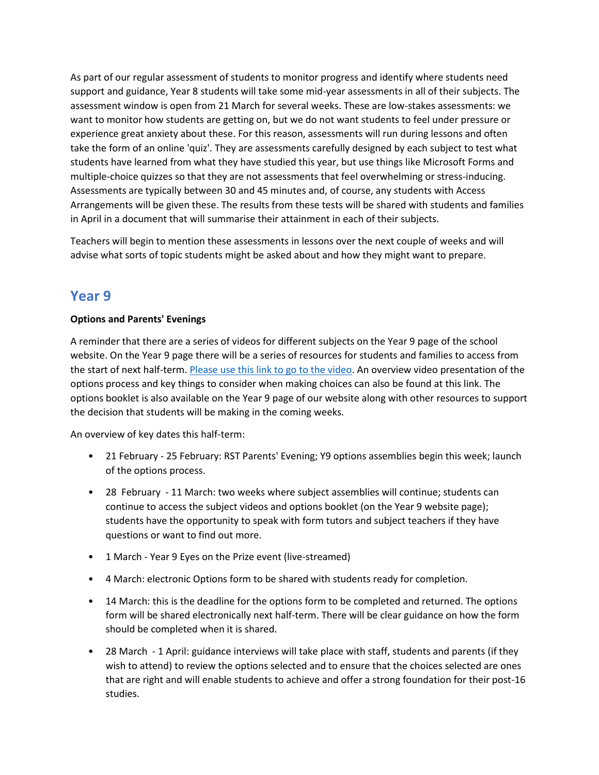As part of our regular assessment of students to monitor progress and identify where students need support and guidance, Year 8 students will take some mid-year assessments in all of their subjects. The assessment window is open from 21 March for several weeks. These are low-stakes assessments: we want to monitor how students are getting on, but we do not want students to feel under pressure or experience great anxiety about these. For this reason, assessments will run during lessons and often take the form of an online 'quiz'. They are assessments carefully designed by each subject to test what students have learned from what they have studied this year, but use things like Microsoft Forms and multiple-choice quizzes so that they are not assessments that feel overwhelming or stress-inducing. Assessments are typically between 30 and 45 minutes and, of course, any students with Access Arrangements will be given these. The results from these tests will be shared with students and families in April in a document that will summarise their attainment in each of their subjects.

Teachers will begin to mention these assessments in lessons over the next couple of weeks and will advise what sorts of topic students might be asked about and how they might want to prepare.

# **Year 9**

#### **Options and Parents' Evenings**

A reminder that there are a series of videos for different subjects on the Year 9 page of the school website. On the Year 9 page there will be a series of resources for students and families to access from the start of next half-term. [Please use this link to go to the video.](https://www.youtube.com/playlist?list=PLWRpec3O09S4pKFritB6JJYTBAHpIlvIB) An overview video presentation of the options process and key things to consider when making choices can also be found at this link. The options booklet is also available on the Year 9 page of our website along with other resources to support the decision that students will be making in the coming weeks.

An overview of key dates this half-term:

- 21 February 25 February: RST Parents' Evening; Y9 options assemblies begin this week; launch of the options process.
- 28 February 11 March: two weeks where subject assemblies will continue; students can continue to access the subject videos and options booklet (on the Year 9 website page); students have the opportunity to speak with form tutors and subject teachers if they have questions or want to find out more.
- 1 March Year 9 Eyes on the Prize event (live-streamed)
- 4 March: electronic Options form to be shared with students ready for completion.
- 14 March: this is the deadline for the options form to be completed and returned. The options form will be shared electronically next half-term. There will be clear guidance on how the form should be completed when it is shared.
- 28 March 1 April: guidance interviews will take place with staff, students and parents (if they wish to attend) to review the options selected and to ensure that the choices selected are ones that are right and will enable students to achieve and offer a strong foundation for their post-16 studies.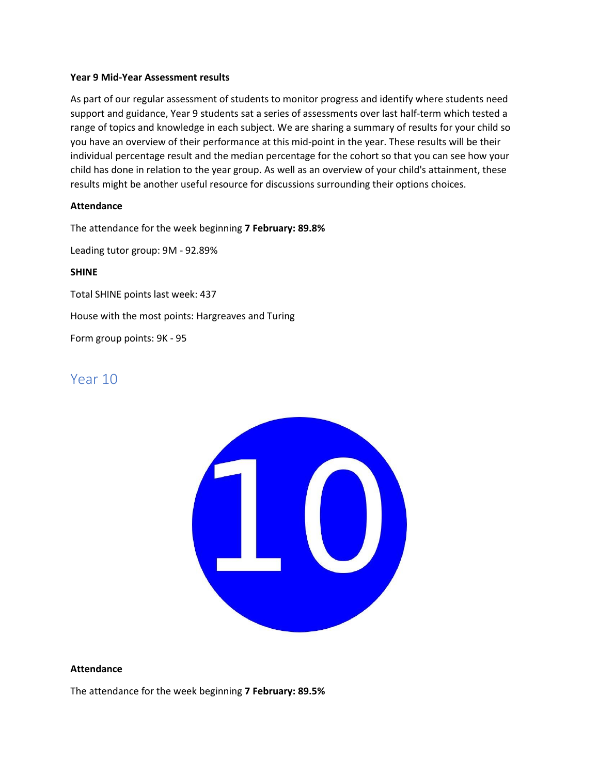#### **Year 9 Mid-Year Assessment results**

As part of our regular assessment of students to monitor progress and identify where students need support and guidance, Year 9 students sat a series of assessments over last half-term which tested a range of topics and knowledge in each subject. We are sharing a summary of results for your child so you have an overview of their performance at this mid-point in the year. These results will be their individual percentage result and the median percentage for the cohort so that you can see how your child has done in relation to the year group. As well as an overview of your child's attainment, these results might be another useful resource for discussions surrounding their options choices.

#### **Attendance**

The attendance for the week beginning **7 February: 89.8%**

Leading tutor group: 9M - 92.89%

#### **SHINE**

Total SHINE points last week: 437

House with the most points: Hargreaves and Turing

Form group points: 9K - 95

# Year 10



#### **Attendance**

The attendance for the week beginning **7 February: 89.5%**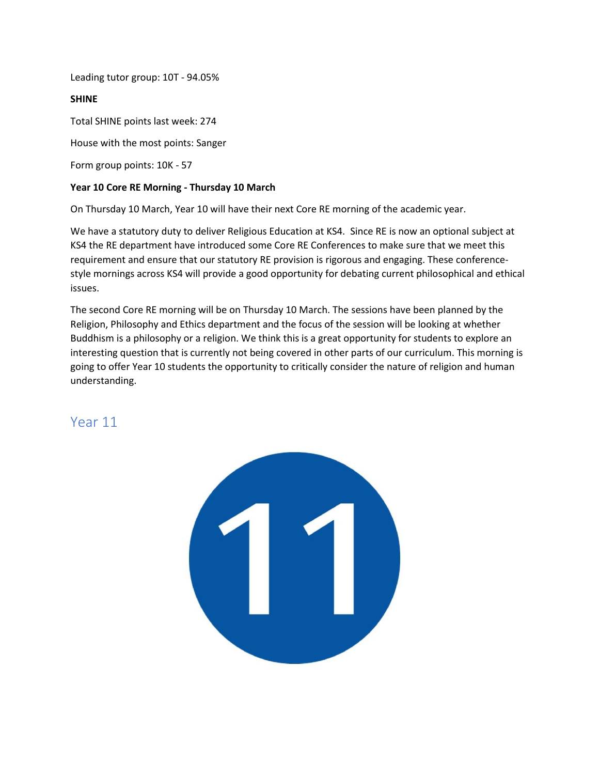Leading tutor group: 10T - 94.05%

#### **SHINE**

Total SHINE points last week: 274

House with the most points: Sanger

Form group points: 10K - 57

#### **Year 10 Core RE Morning - Thursday 10 March**

On Thursday 10 March, Year 10 will have their next Core RE morning of the academic year.

We have a statutory duty to deliver Religious Education at KS4. Since RE is now an optional subject at KS4 the RE department have introduced some Core RE Conferences to make sure that we meet this requirement and ensure that our statutory RE provision is rigorous and engaging. These conferencestyle mornings across KS4 will provide a good opportunity for debating current philosophical and ethical issues.

The second Core RE morning will be on Thursday 10 March. The sessions have been planned by the Religion, Philosophy and Ethics department and the focus of the session will be looking at whether Buddhism is a philosophy or a religion. We think this is a great opportunity for students to explore an interesting question that is currently not being covered in other parts of our curriculum. This morning is going to offer Year 10 students the opportunity to critically consider the nature of religion and human understanding.

## Year 11

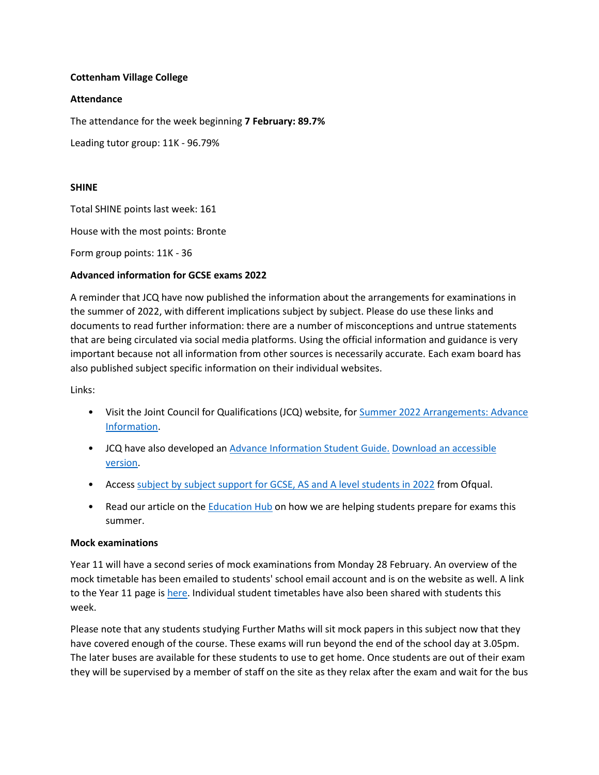#### **Cottenham Village College**

#### **Attendance**

The attendance for the week beginning **7 February: 89.7%**

Leading tutor group: 11K - 96.79%

#### **SHINE**

Total SHINE points last week: 161

House with the most points: Bronte

Form group points: 11K - 36

#### **Advanced information for GCSE exams 2022**

A reminder that JCQ have now published the information about the arrangements for examinations in the summer of 2022, with different implications subject by subject. Please do use these links and documents to read further information: there are a number of misconceptions and untrue statements that are being circulated via social media platforms. Using the official information and guidance is very important because not all information from other sources is necessarily accurate. Each exam board has also published subject specific information on their individual websites.

Links:

- Visit the Joint Council for Qualifications (JCQ) website, fo[r Summer 2022 Arrangements: Advance](https://linkprotect.cudasvc.com/url?a=https%3a%2f%2flnks.gd%2fl%2feyJhbGciOiJIUzI1NiJ9.eyJidWxsZXRpbl9saW5rX2lkIjoxMDIsInVyaSI6ImJwMjpjbGljayIsImJ1bGxldGluX2lkIjoiMjAyMjAyMDcuNTMwMDM0NzEiLCJ1cmwiOiJodHRwczovL3d3dy5qY3Eub3JnLnVrL3N1bW1lci0yMDIyLWFycmFuZ2VtZW50cy9hZHZhbmNlLWluZm9ybWF0aW9uLz91dG1fbWVkaXVtPWVtYWlsJnV0bV9zb3VyY2U9Z292ZGVsaXZlcnkifQ.at4ipA1n8GGuX0NSePdpRu1-nXTMBKTMymFRVRa3ugY%2fs%2f741221553%2fbr%2f126234547426-l&c=E,1,2uR_dDQEur4FTfDNIk4n5hkFl016IGgEUzGW1a_vc-cBz1YjBzP0QUcDzqIRqsgQ_ahQ6HxN7zhlz887jzSeC8pic7BxqIEd74XLTgGTZJ8,&typo=1)  [Information.](https://linkprotect.cudasvc.com/url?a=https%3a%2f%2flnks.gd%2fl%2feyJhbGciOiJIUzI1NiJ9.eyJidWxsZXRpbl9saW5rX2lkIjoxMDIsInVyaSI6ImJwMjpjbGljayIsImJ1bGxldGluX2lkIjoiMjAyMjAyMDcuNTMwMDM0NzEiLCJ1cmwiOiJodHRwczovL3d3dy5qY3Eub3JnLnVrL3N1bW1lci0yMDIyLWFycmFuZ2VtZW50cy9hZHZhbmNlLWluZm9ybWF0aW9uLz91dG1fbWVkaXVtPWVtYWlsJnV0bV9zb3VyY2U9Z292ZGVsaXZlcnkifQ.at4ipA1n8GGuX0NSePdpRu1-nXTMBKTMymFRVRa3ugY%2fs%2f741221553%2fbr%2f126234547426-l&c=E,1,2uR_dDQEur4FTfDNIk4n5hkFl016IGgEUzGW1a_vc-cBz1YjBzP0QUcDzqIRqsgQ_ahQ6HxN7zhlz887jzSeC8pic7BxqIEd74XLTgGTZJ8,&typo=1)
- JCQ have also developed an [Advance Information Student Guide.](https://linkprotect.cudasvc.com/url?a=https%3a%2f%2flnks.gd%2fl%2feyJhbGciOiJIUzI1NiJ9.eyJidWxsZXRpbl9saW5rX2lkIjoxMDMsInVyaSI6ImJwMjpjbGljayIsImJ1bGxldGluX2lkIjoiMjAyMjAyMDcuNTMwMDM0NzEiLCJ1cmwiOiJodHRwczovL3d3dy5qY3Eub3JnLnVrL3dwLWNvbnRlbnQvdXBsb2Fkcy8yMDIyLzAyL0pDUV9BZHZhbmNlLUluZm9ybWF0aW9uLVN0dWRlbnQtR3VpZGUucGRmP3V0bV9tZWRpdW09ZW1haWwmdXRtX3NvdXJjZT1nb3ZkZWxpdmVyeSJ9.75J_xX65UxY-IZ-Eco_ojZg3AWAwR1SUIijGydzYDsM%2fs%2f741221553%2fbr%2f126234547426-l&c=E,1,y1dwXC4Y7C9-sUIxNKpqcj-3rBQMnT8lLThXQhfkb8PWhYIjzjNsYs-RgaESNhU6qjo2K-KD2UTHiL4N02m3DiQYWJmt1BAmgzlSuQjgzEeowODqN1Rz&typo=1) [Download an accessible](https://linkprotect.cudasvc.com/url?a=https%3a%2f%2flnks.gd%2fl%2feyJhbGciOiJIUzI1NiJ9.eyJidWxsZXRpbl9saW5rX2lkIjoxMDQsInVyaSI6ImJwMjpjbGljayIsImJ1bGxldGluX2lkIjoiMjAyMjAyMDcuNTMwMDM0NzEiLCJ1cmwiOiJodHRwczovL3d3dy5qY3Eub3JnLnVrL3dwLWNvbnRlbnQvdXBsb2Fkcy8yMDIyLzAyLzA3MDIyMi1BZHZhbmNlLUluZm9ybWF0aW9uLVN0dWRlbnQtR3VpZGUucGRmP3V0bV9tZWRpdW09ZW1haWwmdXRtX3NvdXJjZT1nb3ZkZWxpdmVyeSJ9.0A7PAX-kA5P0Do3HOl0b1GOrRPduldm4RxkyuO_c1Kk%2fs%2f741221553%2fbr%2f126234547426-l&c=E,1,JWcRo2ksEskaCr2GMXcna2vk_VUYZhUWW5QHKYN-NB96ZbhBux3ltiH5mg4aFfGS_Mq_Q8GjBCvS8rh3n5nfOThBoTnkg_lRU5mOhkrBdBlVRwqxuk6S-S0,&typo=1)  [version.](https://linkprotect.cudasvc.com/url?a=https%3a%2f%2flnks.gd%2fl%2feyJhbGciOiJIUzI1NiJ9.eyJidWxsZXRpbl9saW5rX2lkIjoxMDQsInVyaSI6ImJwMjpjbGljayIsImJ1bGxldGluX2lkIjoiMjAyMjAyMDcuNTMwMDM0NzEiLCJ1cmwiOiJodHRwczovL3d3dy5qY3Eub3JnLnVrL3dwLWNvbnRlbnQvdXBsb2Fkcy8yMDIyLzAyLzA3MDIyMi1BZHZhbmNlLUluZm9ybWF0aW9uLVN0dWRlbnQtR3VpZGUucGRmP3V0bV9tZWRpdW09ZW1haWwmdXRtX3NvdXJjZT1nb3ZkZWxpdmVyeSJ9.0A7PAX-kA5P0Do3HOl0b1GOrRPduldm4RxkyuO_c1Kk%2fs%2f741221553%2fbr%2f126234547426-l&c=E,1,JWcRo2ksEskaCr2GMXcna2vk_VUYZhUWW5QHKYN-NB96ZbhBux3ltiH5mg4aFfGS_Mq_Q8GjBCvS8rh3n5nfOThBoTnkg_lRU5mOhkrBdBlVRwqxuk6S-S0,&typo=1)
- Access [subject by subject support for GCSE, AS and A level students in 2022](https://linkprotect.cudasvc.com/url?a=https%3a%2f%2flnks.gd%2fl%2feyJhbGciOiJIUzI1NiJ9.eyJidWxsZXRpbl9saW5rX2lkIjoxMDUsInVyaSI6ImJwMjpjbGljayIsImJ1bGxldGluX2lkIjoiMjAyMjAyMDcuNTMwMDM0NzEiLCJ1cmwiOiJodHRwczovL3d3dy5nb3YudWsvZ3VpZGFuY2Uvc3ViamVjdC1ieS1zdWJqZWN0LXN1cHBvcnQtZm9yLWdjc2UtYXMtYW5kLWEtbGV2ZWwtc3R1ZGVudHMtaW4tMjAyMj91dG1fbWVkaXVtPWVtYWlsJnV0bV9zb3VyY2U9Z292ZGVsaXZlcnkifQ.FD_TesYfuaIUQnlf1hv3sBqv0lZpuOMyXrAXeL_Mad4%2fs%2f741221553%2fbr%2f126234547426-l&c=E,1,S2xYke4Q5cPv1W4-dLQ8yzYOuVZzH71QU6_1FUqyuLhbgwOyMcOpIPHKlI1LxBkQ26cge3yZ6y5VrBXoXKrHg84AWGHaOa6A2IYXfpywYPpsRw,,&typo=1) from Ofqual.
- Read our article on the [Education Hub](https://linkprotect.cudasvc.com/url?a=https%3a%2f%2flnks.gd%2fl%2feyJhbGciOiJIUzI1NiJ9.eyJidWxsZXRpbl9saW5rX2lkIjoxMDYsInVyaSI6ImJwMjpjbGljayIsImJ1bGxldGluX2lkIjoiMjAyMjAyMDcuNTMwMDM0NzEiLCJ1cmwiOiJodHRwczovL2VkdWNhdGlvbmh1Yi5ibG9nLmdvdi51ay8yMDIyLzAyLzA3L2hvdy13ZS1hcmUtaGVscGluZy1zdHVkZW50cy1wcmVwYXJlLWZvci1leGFtcy10aGlzLXN1bW1lci1hZHZhbmNlLWluZm9ybWF0aW9uLz91dG1fbWVkaXVtPWVtYWlsJnV0bV9zb3VyY2U9Z292ZGVsaXZlcnkifQ.-Q1A7Sek2KlNsoQCJuH70jBcrRGhvoX82ZOnvDlx7Dc%2fs%2f741221553%2fbr%2f126234547426-l&c=E,1,JJAzxUXbNlc--r00x2qePU43-B5rMw_O5TrIp4dUjbCWpp60thP9HlsjSEbKA85JtqDbEQAOUfuFZJsNZMZ234MGkf0kKrXW5amRBNjce3lO_n8btwtdXA,,&typo=1) on how we are helping students prepare for exams this summer.

#### **Mock examinations**

Year 11 will have a second series of mock examinations from Monday 28 February. An overview of the mock timetable has been emailed to students' school email account and is on the website as well. A link to the Year 11 page is [here.](https://www.astreacottenham.org/wp-content/uploads/2022/02/CVC-Year-11-February-Mock-Timetable-2022.pdf) Individual student timetables have also been shared with students this week.

Please note that any students studying Further Maths will sit mock papers in this subject now that they have covered enough of the course. These exams will run beyond the end of the school day at 3.05pm. The later buses are available for these students to use to get home. Once students are out of their exam they will be supervised by a member of staff on the site as they relax after the exam and wait for the bus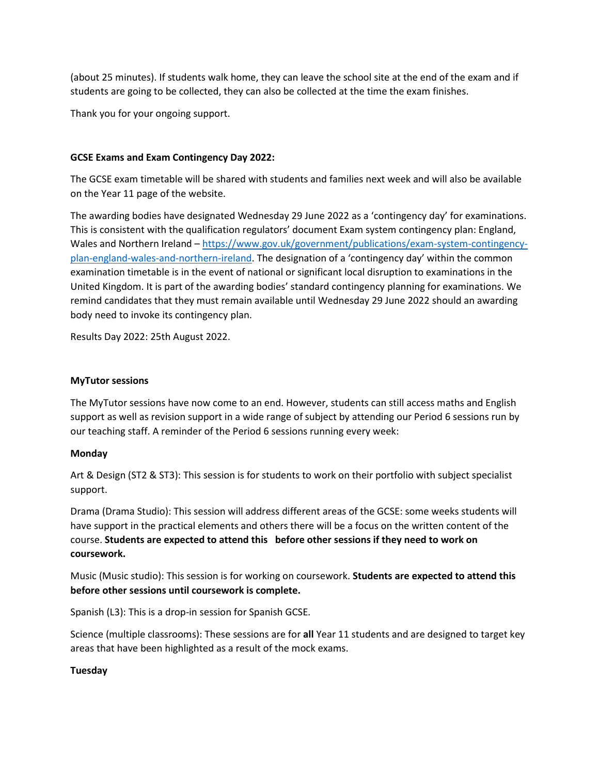(about 25 minutes). If students walk home, they can leave the school site at the end of the exam and if students are going to be collected, they can also be collected at the time the exam finishes.

Thank you for your ongoing support.

#### **GCSE Exams and Exam Contingency Day 2022:**

The GCSE exam timetable will be shared with students and families next week and will also be available on the Year 11 page of the website.

The awarding bodies have designated Wednesday 29 June 2022 as a 'contingency day' for examinations. This is consistent with the qualification regulators' document Exam system contingency plan: England, Wales and Northern Ireland – [https://www.gov.uk/government/publications/exam-system-contingency](https://www.gov.uk/government/publications/exam-system-contingency-plan-england-wales-and-northern-ireland)[plan-england-wales-and-northern-ireland.](https://www.gov.uk/government/publications/exam-system-contingency-plan-england-wales-and-northern-ireland) The designation of a 'contingency day' within the common examination timetable is in the event of national or significant local disruption to examinations in the United Kingdom. It is part of the awarding bodies' standard contingency planning for examinations. We remind candidates that they must remain available until Wednesday 29 June 2022 should an awarding body need to invoke its contingency plan.

Results Day 2022: 25th August 2022.

#### **MyTutor sessions**

The MyTutor sessions have now come to an end. However, students can still access maths and English support as well as revision support in a wide range of subject by attending our Period 6 sessions run by our teaching staff. A reminder of the Period 6 sessions running every week:

#### **Monday**

Art & Design (ST2 & ST3): This session is for students to work on their portfolio with subject specialist support.

Drama (Drama Studio): This session will address different areas of the GCSE: some weeks students will have support in the practical elements and others there will be a focus on the written content of the course. **Students are expected to attend this before other sessions if they need to work on coursework.**

Music (Music studio): This session is for working on coursework. **Students are expected to attend this before other sessions until coursework is complete.**

Spanish (L3): This is a drop-in session for Spanish GCSE.

Science (multiple classrooms): These sessions are for **all** Year 11 students and are designed to target key areas that have been highlighted as a result of the mock exams.

#### **Tuesday**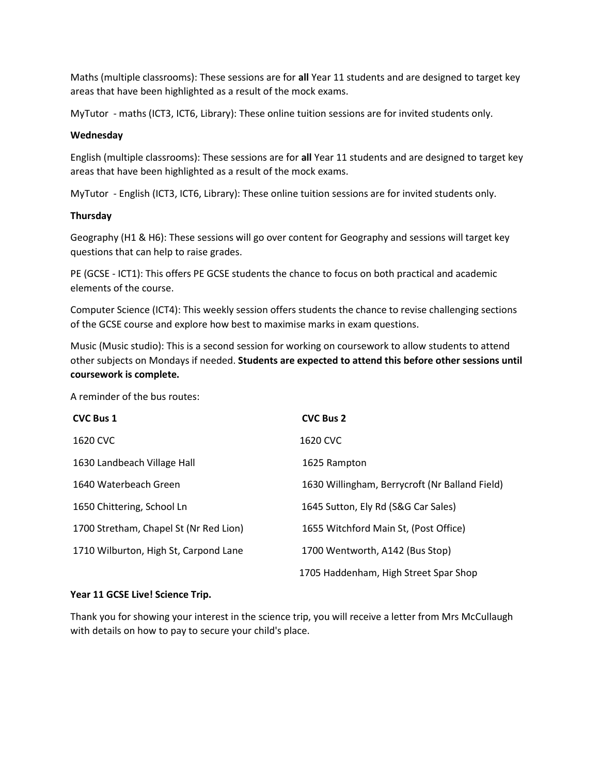Maths (multiple classrooms): These sessions are for **all** Year 11 students and are designed to target key areas that have been highlighted as a result of the mock exams.

MyTutor - maths (ICT3, ICT6, Library): These online tuition sessions are for invited students only.

#### **Wednesday**

English (multiple classrooms): These sessions are for **all** Year 11 students and are designed to target key areas that have been highlighted as a result of the mock exams.

MyTutor - English (ICT3, ICT6, Library): These online tuition sessions are for invited students only.

#### **Thursday**

Geography (H1 & H6): These sessions will go over content for Geography and sessions will target key questions that can help to raise grades.

PE (GCSE - ICT1): This offers PE GCSE students the chance to focus on both practical and academic elements of the course.

Computer Science (ICT4): This weekly session offers students the chance to revise challenging sections of the GCSE course and explore how best to maximise marks in exam questions.

Music (Music studio): This is a second session for working on coursework to allow students to attend other subjects on Mondays if needed. **Students are expected to attend this before other sessions until coursework is complete.**

A reminder of the bus routes:

| <b>CVC Bus 1</b>                       | <b>CVC Bus 2</b>                               |
|----------------------------------------|------------------------------------------------|
| 1620 CVC                               | 1620 CVC                                       |
| 1630 Landbeach Village Hall            | 1625 Rampton                                   |
| 1640 Waterbeach Green                  | 1630 Willingham, Berrycroft (Nr Balland Field) |
| 1650 Chittering, School Ln             | 1645 Sutton, Ely Rd (S&G Car Sales)            |
| 1700 Stretham, Chapel St (Nr Red Lion) | 1655 Witchford Main St, (Post Office)          |
| 1710 Wilburton, High St, Carpond Lane  | 1700 Wentworth, A142 (Bus Stop)                |
|                                        | 1705 Haddenham, High Street Spar Shop          |

#### **Year 11 GCSE Live! Science Trip.**

Thank you for showing your interest in the science trip, you will receive a letter from Mrs McCullaugh with details on how to pay to secure your child's place.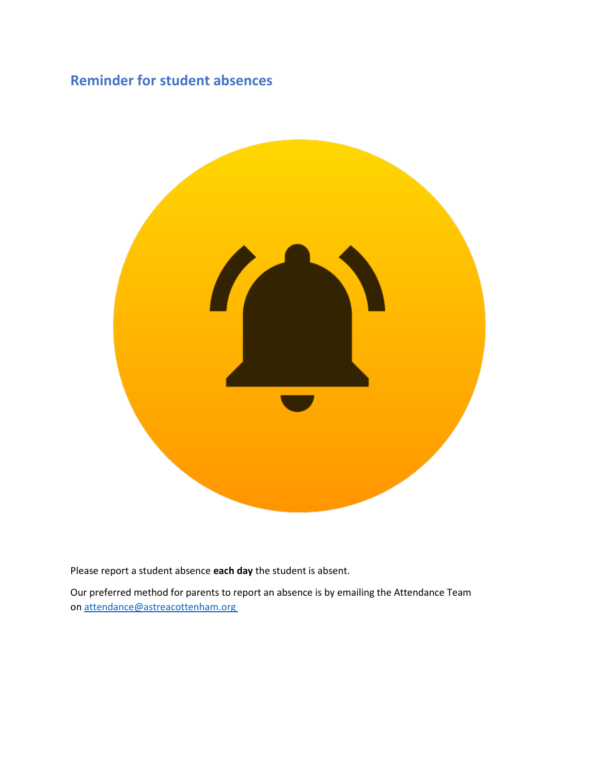# **Reminder for student absences**



Please report a student absence **each day** the student is absent.

Our preferred method for parents to report an absence is by emailing the Attendance Team on [attendance@astreacottenham.org](mailto:attendance@astreacottenham.org)